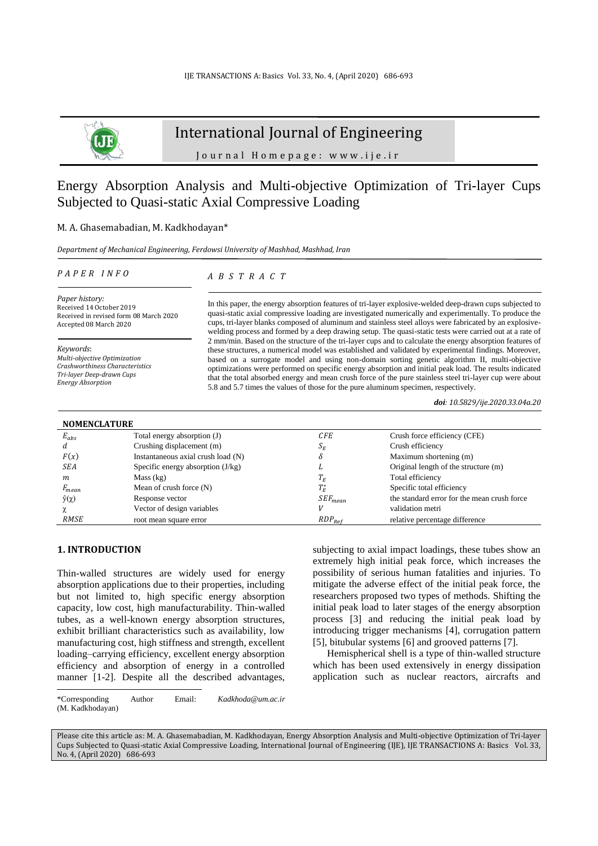

# International Journal of Engineering

J o u r n a l H o m e p a g e : w w w . i j e . i r

# Energy Absorption Analysis and Multi-objective Optimization of Tri-layer Cups Subjected to Quasi-static Axial Compressive Loading

### M. A. Ghasemabadian, M. Kadkhodayan\*

*Department of Mechanical Engineering, Ferdowsi University of Mashhad, Mashhad, Iran*

#### *P A P E R I N F O*

*A B S T R A C T*

*Paper history:* Received 14 October 2019 Received in revised form 08 March 2020 Accepted 08 March 2020

*Keywords*: *Multi-objective Optimization Crashworthiness Characteristics Tri-layer Deep-drawn Cups Energy Absorption*

In this paper, the energy absorption features of tri-layer explosive-welded deep-drawn cups subjected to quasi-static axial compressive loading are investigated numerically and experimentally. To produce the cups, tri-layer blanks composed of aluminum and stainless steel alloys were fabricated by an explosivewelding process and formed by a deep drawing setup. The quasi-static tests were carried out at a rate of 2 mm/min. Based on the structure of the tri-layer cups and to calculate the energy absorption features of these structures, a numerical model was established and validated by experimental findings. Moreover, based on a surrogate model and using non-domain sorting genetic algorithm II, multi-objective optimizations were performed on specific energy absorption and initial peak load. The results indicated that the total absorbed energy and mean crush force of the pure stainless steel tri-layer cup were about 5.8 and 5.7 times the values of those for the pure aluminum specimen, respectively.

*doi: 10.5829/ije.2020.33.04a.20*

| <b>NOMENCLATURE</b> |                                     |                |                                             |
|---------------------|-------------------------------------|----------------|---------------------------------------------|
| $E_{abs}$           | Total energy absorption (J)         | <b>CFE</b>     | Crush force efficiency (CFE)                |
|                     | Crushing displacement (m)           | $S_E$          | Crush efficiency                            |
| F(x)                | Instantaneous axial crush load (N)  |                | Maximum shortening (m)                      |
| SEA                 | Specific energy absorption $(J/kg)$ | ∸              | Original length of the structure (m)        |
| m                   | Mass (kg)                           | $I_E$          | Total efficiency                            |
| $F_{mean}$          | Mean of crush force $(N)$           | $T^{\ast}_{F}$ | Specific total efficiency                   |
| $\hat{y}(\chi)$     | Response vector                     | $SEF_{mean}$   | the standard error for the mean crush force |
|                     | Vector of design variables          |                | validation metri                            |
| RMSE                | root mean square error              | $RDP_{Ref}$    | relative percentage difference              |

#### **1. INTRODUCTION<sup>1</sup>**

Thin-walled structures are widely used for energy absorption applications due to their properties, including but not limited to, high specific energy absorption capacity, low cost, high manufacturability. Thin-walled tubes, as a well-known energy absorption structures, exhibit brilliant characteristics such as availability, low manufacturing cost, high stiffness and strength, excellent loading–carrying efficiency, excellent energy absorption efficiency and absorption of energy in a controlled manner [1-2]. Despite all the described advantages,

subjecting to axial impact loadings, these tubes show an extremely high initial peak force, which increases the possibility of serious human fatalities and injuries. To mitigate the adverse effect of the initial peak force, the researchers proposed two types of methods. Shifting the initial peak load to later stages of the energy absorption process [3] and reducing the initial peak load by introducing trigger mechanisms [4], corrugation pattern [5], bitubular systems [6] and grooved patterns [7].

Hemispherical shell is a type of thin-walled structure which has been used extensively in energy dissipation application such as nuclear reactors, aircrafts and

\*Corresponding Author Email: *Kadkhoda@um.ac.ir* (M. Kadkhodayan)

Please cite this article as: M. A. Ghasemabadian, M. Kadkhodayan, Energy Absorption Analysis and Multi-objective Optimization of Tri-layer Cups Subjected to Quasi-static Axial Compressive Loading, International Journal of Engineering (IJE), IJE TRANSACTIONS A: Basics Vol. 33, No. 4, (April 2020) 686-693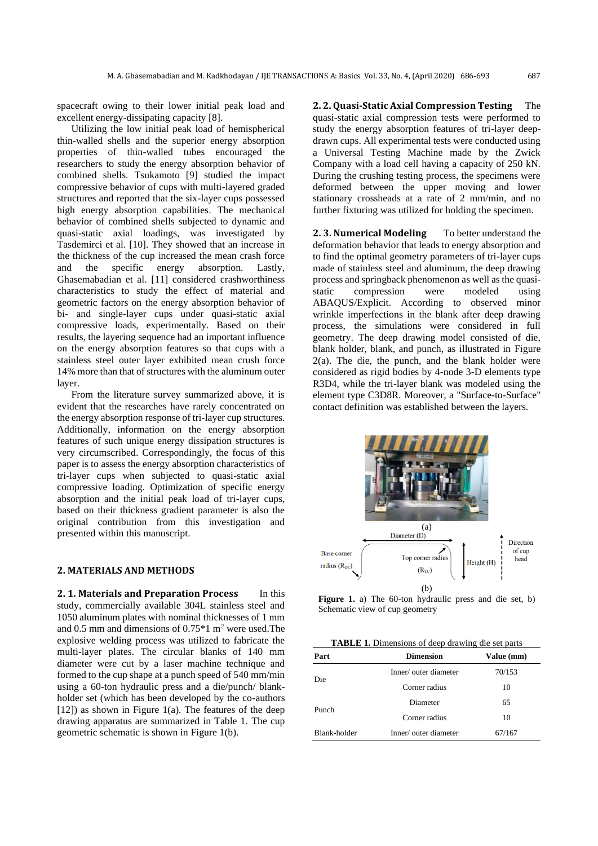spacecraft owing to their lower initial peak load and excellent energy-dissipating capacity [8].

Utilizing the low initial peak load of hemispherical thin-walled shells and the superior energy absorption properties of thin-walled tubes encouraged the researchers to study the energy absorption behavior of combined shells. Tsukamoto [9] studied the impact compressive behavior of cups with multi-layered graded structures and reported that the six-layer cups possessed high energy absorption capabilities. The mechanical behavior of combined shells subjected to dynamic and quasi-static axial loadings, was investigated by Tasdemirci et al. [10]. They showed that an increase in the thickness of the cup increased the mean crash force and the specific energy absorption. Lastly, Ghasemabadian et al. [11] considered crashworthiness characteristics to study the effect of material and geometric factors on the energy absorption behavior of bi- and single-layer cups under quasi-static axial compressive loads, experimentally. Based on their results, the layering sequence had an important influence on the energy absorption features so that cups with a stainless steel outer layer exhibited mean crush force 14% more than that of structures with the aluminum outer layer.

From the literature survey summarized above, it is evident that the researches have rarely concentrated on the energy absorption response of tri-layer cup structures. Additionally, information on the energy absorption features of such unique energy dissipation structures is very circumscribed. Correspondingly, the focus of this paper is to assess the energy absorption characteristics of tri-layer cups when subjected to quasi-static axial compressive loading. Optimization of specific energy absorption and the initial peak load of tri-layer cups, based on their thickness gradient parameter is also the original contribution from this investigation and presented within this manuscript.

## **2. MATERIALS AND METHODS**

**2. 1. Materials and Preparation Process** In this study, commercially available 304L stainless steel and 1050 aluminum plates with nominal thicknesses of 1 mm and 0.5 mm and dimensions of  $0.75*1$  m<sup>2</sup> were used. The explosive welding process was utilized to fabricate the multi-layer plates. The circular blanks of 140 mm diameter were cut by a laser machine technique and formed to the cup shape at a punch speed of 540 mm/min using a 60-ton hydraulic press and a die/punch/ blankholder set (which has been developed by the co-authors  $[12]$ ) as shown in Figure 1(a). The features of the deep drawing apparatus are summarized in Table 1. The cup geometric schematic is shown in Figure 1(b).

**2. 2. Quasi-Static Axial Compression Testing** The quasi-static axial compression tests were performed to study the energy absorption features of tri-layer deepdrawn cups. All experimental tests were conducted using a Universal Testing Machine made by the Zwick Company with a load cell having a capacity of 250 kN. During the crushing testing process, the specimens were deformed between the upper moving and lower stationary crossheads at a rate of 2 mm/min, and no further fixturing was utilized for holding the specimen.

**2.3. Numerical Modeling** To better understand the deformation behavior that leads to energy absorption and to find the optimal geometry parameters of tri-layer cups made of stainless steel and aluminum, the deep drawing process and springback phenomenon as well as the quasistatic compression were modeled using ABAQUS/Explicit. According to observed minor wrinkle imperfections in the blank after deep drawing process, the simulations were considered in full geometry. The deep drawing model consisted of die, blank holder, blank, and punch, as illustrated in Figure  $2(a)$ . The die, the punch, and the blank holder were considered as rigid bodies by 4-node 3-D elements type R3D4, while the tri-layer blank was modeled using the element type C3D8R. Moreover, a "Surface-to-Surface" contact definition was established between the layers.



**Figure 1.** a) The 60-ton hydraulic press and die set, b) Schematic view of cup geometry

| <b>TABLE 1.</b> Dimensions of deep drawing die set parts |  |  |  |  |  |
|----------------------------------------------------------|--|--|--|--|--|
|----------------------------------------------------------|--|--|--|--|--|

| Part         | <b>Dimension</b>                                  | Value (mm) |
|--------------|---------------------------------------------------|------------|
| Die          | Inner/outer diameter                              | 70/153     |
|              | Corner radius                                     | 10         |
|              | Diameter<br>Corner radius<br>Inner/outer diameter | 65         |
| Punch        |                                                   | 10         |
| Blank-holder |                                                   | 67/167     |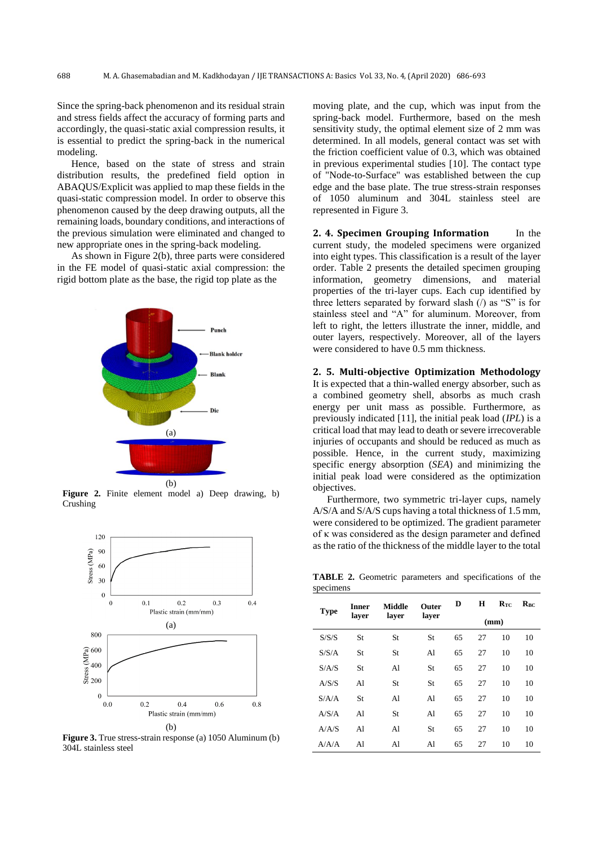Since the spring-back phenomenon and its residual strain and stress fields affect the accuracy of forming parts and accordingly, the quasi-static axial compression results, it is essential to predict the spring-back in the numerical modeling.

Hence, based on the state of stress and strain distribution results, the predefined field option in ABAQUS/Explicit was applied to map these fields in the quasi-static compression model. In order to observe this phenomenon caused by the deep drawing outputs, all the remaining loads, boundary conditions, and interactions of the previous simulation were eliminated and changed to new appropriate ones in the spring-back modeling.

As shown in Figure 2(b), three parts were considered in the FE model of quasi-static axial compression: the rigid bottom plate as the base, the rigid top plate as the



**Figure 2.** Finite element model a) Deep drawing, b) Crushing



**Figure 3.** True stress-strain response (a) 1050 Aluminum (b) 304L stainless steel

moving plate, and the cup, which was input from the spring-back model. Furthermore, based on the mesh sensitivity study, the optimal element size of 2 mm was determined. In all models, general contact was set with the friction coefficient value of 0.3, which was obtained in previous experimental studies [10]. The contact type of "Node-to-Surface" was established between the cup edge and the base plate. The true stress-strain responses of 1050 aluminum and 304L stainless steel are represented in Figure 3.

**2. 4. Specimen Grouping Information** In the current study, the modeled specimens were organized into eight types. This classification is a result of the layer order. Table 2 presents the detailed specimen grouping information, geometry dimensions, and material properties of the tri-layer cups. Each cup identified by three letters separated by forward slash  $($ ) as "S" is for stainless steel and "A" for aluminum. Moreover, from left to right, the letters illustrate the inner, middle, and outer layers, respectively. Moreover, all of the layers were considered to have 0.5 mm thickness.

**2. 5. Multi-objective Optimization Methodology** It is expected that a thin-walled energy absorber, such as a combined geometry shell, absorbs as much crash energy per unit mass as possible. Furthermore, as previously indicated [11], the initial peak load (*IPL*) is a critical load that may lead to death or severe irrecoverable injuries of occupants and should be reduced as much as possible. Hence, in the current study, maximizing specific energy absorption (*SEA*) and minimizing the initial peak load were considered as the optimization objectives.

Furthermore, two symmetric tri-layer cups, namely A/S/A and S/A/S cups having a total thickness of 1.5 mm, were considered to be optimized. The gradient parameter of κ was considered as the design parameter and defined as the ratio of the thickness of the middle layer to the total

**TABLE 2.** Geometric parameters and specifications of the specimens

| <b>Type</b> | Inner          | <b>Middle</b> | <b>Outer</b> | D    | н  | $R_{TC}$ | $R_{BC}$ |
|-------------|----------------|---------------|--------------|------|----|----------|----------|
|             | laver          | layer         | layer        | (mm) |    |          |          |
| S/S/S       | St             | St            | St           | 65   | 27 | 10       | 10       |
| S/S/A       | St             | St            | Al           | 65   | 27 | 10       | 10       |
| S/A/S       | St             | Al            | St           | 65   | 27 | 10       | 10       |
| A/S/S       | Al             | St            | St           | 65   | 27 | 10       | 10       |
| S/A/A       | St             | Al            | A1           | 65   | 27 | 10       | 10       |
| A/S/A       | A <sub>1</sub> | St            | A1           | 65   | 27 | 10       | 10       |
| A/A/S       | A1             | Al            | St           | 65   | 27 | 10       | 10       |
| A/A/A       | Al             | Al            | Al           | 65   | 27 | 10       | 10       |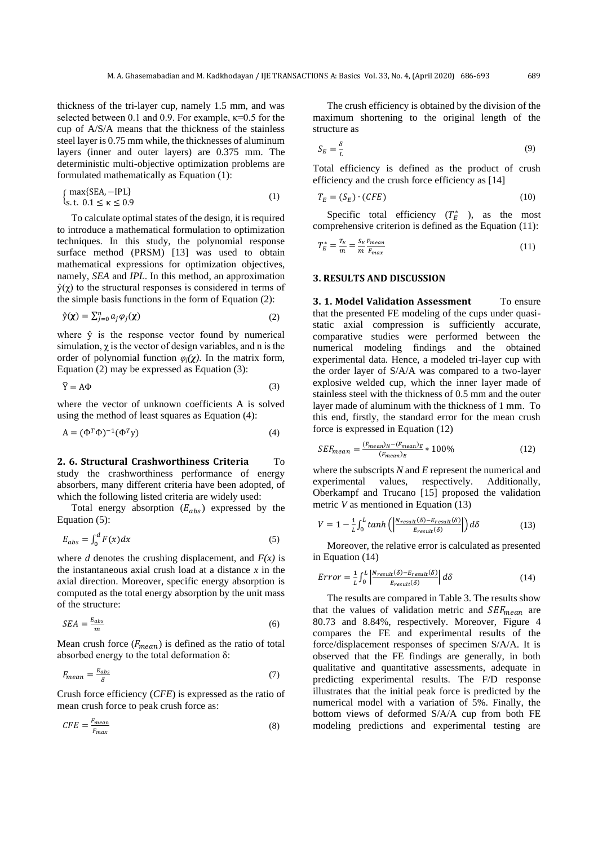thickness of the tri-layer cup, namely 1.5 mm, and was selected between 0.1 and 0.9. For example,  $\kappa$ =0.5 for the cup of A/S/A means that the thickness of the stainless steel layer is 0.75 mm while, the thicknesses of aluminum layers (inner and outer layers) are 0.375 mm. The deterministic multi-objective optimization problems are formulated mathematically as Equation (1):

$$
\begin{cases} \max\{SEA, -IPL\} \\ \text{s.t. } 0.1 \le \kappa \le 0.9 \end{cases} \tag{1}
$$

To calculate optimal states of the design, it is required to introduce a mathematical formulation to optimization techniques. In this study, the polynomial response surface method (PRSM) [13] was used to obtain mathematical expressions for optimization objectives, namely, *SEA* and *IPL*. In this method, an approximation  $\hat{y}(y)$  to the structural responses is considered in terms of the simple basis functions in the form of Equation (2):

$$
\hat{\mathbf{y}}(\mathbf{x}) = \sum_{j=0}^{n} a_j \varphi_j(\mathbf{x})
$$
\n(2)

where  $\hat{y}$  is the response vector found by numerical simulation,  $\chi$  is the vector of design variables, and n is the order of polynomial function  $\varphi_i(\chi)$ . In the matrix form, Equation (2) may be expressed as Equation (3):

$$
\hat{Y} = A\Phi
$$
 (3)

where the vector of unknown coefficients A is solved using the method of least squares as Equation (4):

$$
\mathbf{A} = (\Phi^T \Phi)^{-1} (\Phi^T \mathbf{y}) \tag{4}
$$

**2. 6. Structural Crashworthiness Criteria** To study the crashworthiness performance of energy absorbers, many different criteria have been adopted, of which the following listed criteria are widely used:

Total energy absorption  $(E_{abs})$  expressed by the Equation (5):

$$
E_{abs} = \int_0^d F(x) dx \tag{5}
$$

where *d* denotes the crushing displacement, and  $F(x)$  is the instantaneous axial crush load at a distance *x* in the axial direction. Moreover, specific energy absorption is computed as the total energy absorption by the unit mass of the structure:

$$
SEA = \frac{E_{abs}}{m} \tag{6}
$$

Mean crush force  $(F_{mean})$  is defined as the ratio of total absorbed energy to the total deformation  $\delta$ :

$$
F_{mean} = \frac{E_{abs}}{\delta} \tag{7}
$$

Crush force efficiency (*CFE*) is expressed as the ratio of mean crush force to peak crush force as:

$$
CFE = \frac{F_{mean}}{F_{max}}\tag{8}
$$

The crush efficiency is obtained by the division of the maximum shortening to the original length of the structure as

$$
S_E = \frac{\delta}{L} \tag{9}
$$

Total efficiency is defined as the product of crush efficiency and the crush force efficiency as [14]

$$
T_E = (S_E) \cdot (CFE) \tag{10}
$$

Specific total efficiency  $(T_E^*)$ , as the most comprehensive criterion is defined as the Equation (11):

$$
T_E^* = \frac{T_E}{m} = \frac{S_E F_{mean}}{m F_{max}}
$$
(11)

#### **3. RESULTS AND DISCUSSION**

**3. 1. Model Validation Assessment** To ensure that the presented FE modeling of the cups under quasistatic axial compression is sufficiently accurate, comparative studies were performed between the numerical modeling findings and the obtained experimental data. Hence, a modeled tri-layer cup with the order layer of S/A/A was compared to a two-layer explosive welded cup, which the inner layer made of stainless steel with the thickness of 0.5 mm and the outer layer made of aluminum with the thickness of 1 mm. To this end, firstly, the standard error for the mean crush force is expressed in Equation (12)

$$
SEF_{mean} = \frac{(F_{mean})_N - (F_{mean})_E}{(F_{mean})_E} * 100\%
$$
\n(12)

where the subscripts *N* and *E* represent the numerical and experimental values, respectively. Additionally, Oberkampf and Trucano [15] proposed the validation metric *V* as mentioned in Equation (13)

$$
V = 1 - \frac{1}{L} \int_0^L \tanh\left(\left|\frac{N_{result}(\delta) - E_{result}(\delta)}{E_{result}(\delta)}\right|\right) d\delta \tag{13}
$$

Moreover, the relative error is calculated as presented in Equation (14)

$$
Error = \frac{1}{L} \int_0^L \left| \frac{N_{result}(\delta) - E_{result}(\delta)}{E_{result}(\delta)} \right| d\delta \tag{14}
$$

The results are compared in Table 3. The results show that the values of validation metric and  $SEF_{mean}$  are 80.73 and 8.84%, respectively. Moreover, Figure 4 compares the FE and experimental results of the force/displacement responses of specimen S/A/A. It is observed that the FE findings are generally, in both qualitative and quantitative assessments, adequate in predicting experimental results. The F/D response illustrates that the initial peak force is predicted by the numerical model with a variation of 5%. Finally, the bottom views of deformed S/A/A cup from both FE modeling predictions and experimental testing are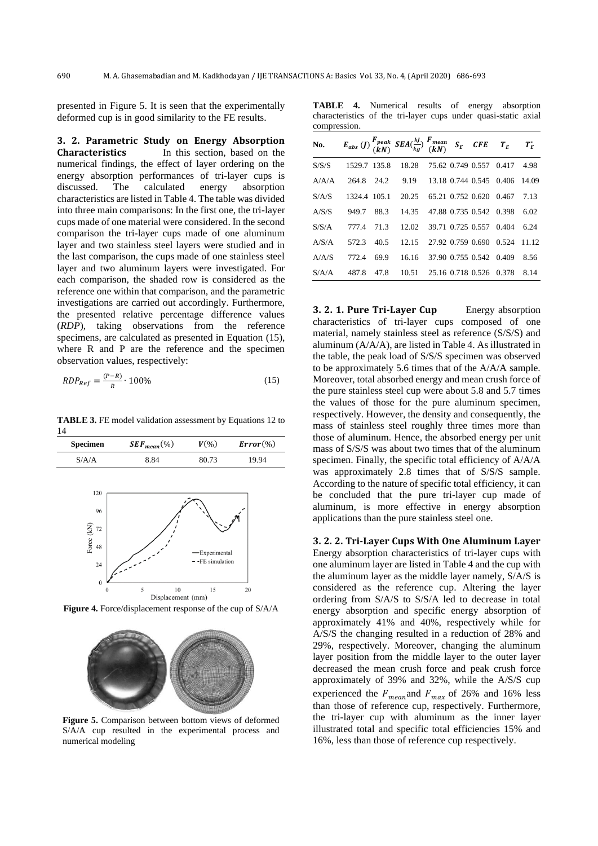presented in Figure 5. It is seen that the experimentally deformed cup is in good similarity to the FE results.

**3. 2. Parametric Study on Energy Absorption Characteristics** In this section, based on the numerical findings, the effect of layer ordering on the energy absorption performances of tri-layer cups is discussed. The calculated energy absorption characteristics are listed in Table 4. The table was divided into three main comparisons: In the first one, the tri-layer cups made of one material were considered. In the second comparison the tri-layer cups made of one aluminum layer and two stainless steel layers were studied and in the last comparison, the cups made of one stainless steel layer and two aluminum layers were investigated. For each comparison, the shaded row is considered as the reference one within that comparison, and the parametric investigations are carried out accordingly. Furthermore, the presented relative percentage difference values (*RDP*), taking observations from the reference specimens, are calculated as presented in Equation (15), where R and P are the reference and the specimen observation values, respectively:

$$
RDP_{Ref} = \frac{(P - R)}{R} \cdot 100\%
$$
\n(15)

**TABLE 3.** FE model validation assessment by Equations 12 to 14



**Figure 4.** Force/displacement response of the cup of S/A/A



**Figure 5.** Comparison between bottom views of deformed S/A/A cup resulted in the experimental process and numerical modeling

**TABLE 4.** Numerical results of energy absorption characteristics of the tri-layer cups under quasi-static axial compression.

|       |      |                              |  |                                                             | $T_E^*$                                                                                                                                                                                                                                     |
|-------|------|------------------------------|--|-------------------------------------------------------------|---------------------------------------------------------------------------------------------------------------------------------------------------------------------------------------------------------------------------------------------|
|       |      | 18.28                        |  | 0.417                                                       | 4.98                                                                                                                                                                                                                                        |
| 264.8 | 24.2 | 9.19                         |  |                                                             | 14.09                                                                                                                                                                                                                                       |
|       |      | 20.25                        |  |                                                             | 7.13                                                                                                                                                                                                                                        |
| 949.7 | 88.3 | 14.35                        |  |                                                             | 6.02                                                                                                                                                                                                                                        |
| 777.4 | 71.3 | 12.02                        |  |                                                             | 6.24                                                                                                                                                                                                                                        |
| 572.3 | 40.5 | 12.15                        |  | 0.524                                                       | 11.12                                                                                                                                                                                                                                       |
| 772.4 | 69.9 | 16.16                        |  | 0.409                                                       | 8.56                                                                                                                                                                                                                                        |
| 487.8 | 47.8 | 10.51                        |  |                                                             | 8.14                                                                                                                                                                                                                                        |
|       |      | 1529.7 135.8<br>1324.4 105.1 |  | 75.62 0.749 0.557<br>27.92 0.759 0.690<br>37.90 0.755 0.542 | $E_{abs}$ (J) $\frac{F_{peak}}{(kN)}$ $SEA(\frac{kJ}{kg})$ $\frac{F_{mean}}{(kN)}$ $S_E$ $CFE$ $T_E$<br>13.18 0.744 0.545 0.406<br>65.21 0.752 0.620 0.467<br>47.88 0.735 0.542 0.398<br>39.71 0.725 0.557 0.404<br>25.16 0.718 0.526 0.378 |

**3. 2. 1. Pure Tri-Layer Cup** Energy absorption characteristics of tri-layer cups composed of one material, namely stainless steel as reference (S/S/S) and aluminum (A/A/A), are listed in Table 4. As illustrated in the table, the peak load of S/S/S specimen was observed to be approximately 5.6 times that of the A/A/A sample. Moreover, total absorbed energy and mean crush force of the pure stainless steel cup were about 5.8 and 5.7 times the values of those for the pure aluminum specimen, respectively. However, the density and consequently, the mass of stainless steel roughly three times more than those of aluminum. Hence, the absorbed energy per unit mass of S/S/S was about two times that of the aluminum specimen. Finally, the specific total efficiency of A/A/A was approximately 2.8 times that of S/S/S sample. According to the nature of specific total efficiency, it can be concluded that the pure tri-layer cup made of aluminum, is more effective in energy absorption applications than the pure stainless steel one.

**3. 2. 2. Tri-Layer Cups With One Aluminum Layer**

Energy absorption characteristics of tri-layer cups with one aluminum layer are listed in Table 4 and the cup with the aluminum layer as the middle layer namely, S/A/S is considered as the reference cup. Altering the layer ordering from S/A/S to S/S/A led to decrease in total energy absorption and specific energy absorption of approximately 41% and 40%, respectively while for A/S/S the changing resulted in a reduction of 28% and 29%, respectively. Moreover, changing the aluminum layer position from the middle layer to the outer layer decreased the mean crush force and peak crush force approximately of 39% and 32%, while the A/S/S cup experienced the  $F_{mean}$  and  $F_{max}$  of 26% and 16% less than those of reference cup, respectively. Furthermore, the tri-layer cup with aluminum as the inner layer illustrated total and specific total efficiencies 15% and 16%, less than those of reference cup respectively.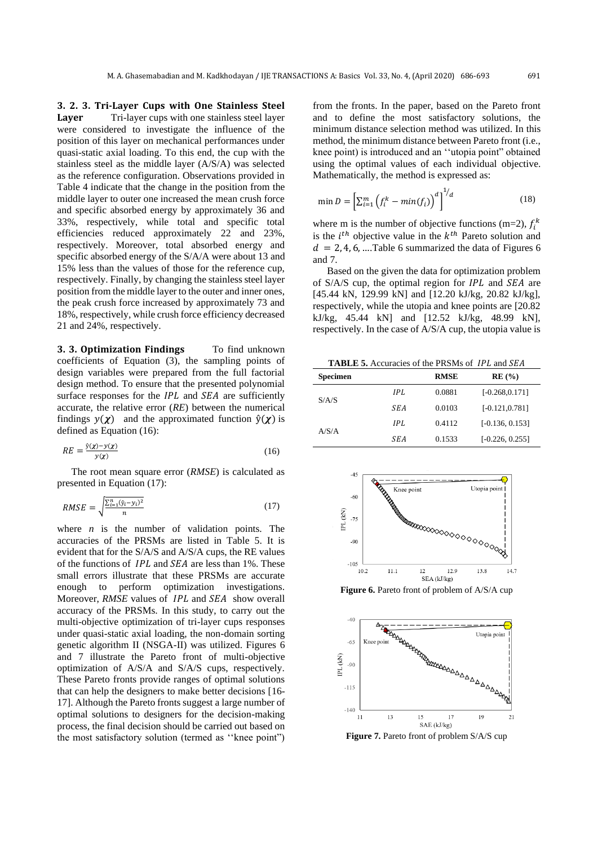**3. 2. 3. Tri-Layer Cups with One Stainless Steel Layer** Tri-layer cups with one stainless steel layer were considered to investigate the influence of the position of this layer on mechanical performances under quasi-static axial loading. To this end, the cup with the stainless steel as the middle layer (A/S/A) was selected as the reference configuration. Observations provided in Table 4 indicate that the change in the position from the middle layer to outer one increased the mean crush force and specific absorbed energy by approximately 36 and 33%, respectively, while total and specific total efficiencies reduced approximately 22 and 23%, respectively. Moreover, total absorbed energy and specific absorbed energy of the S/A/A were about 13 and 15% less than the values of those for the reference cup, respectively. Finally, by changing the stainless steel layer position from the middle layer to the outer and inner ones, the peak crush force increased by approximately 73 and 18%, respectively, while crush force efficiency decreased 21 and 24%, respectively.

**3. 3. Optimization Findings** To find unknown coefficients of Equation (3), the sampling points of design variables were prepared from the full factorial design method. To ensure that the presented polynomial surface responses for the  $IPL$  and  $SEA$  are sufficiently accurate, the relative error (*RE*) between the numerical findings  $y(\chi)$  and the approximated function  $\hat{y}(\chi)$  is defined as Equation (16):

$$
RE = \frac{\hat{y}(x) - y(x)}{y(x)}\tag{16}
$$

The root mean square error (*RMSE*) is calculated as presented in Equation (17):

$$
RMSE = \sqrt{\frac{\sum_{i=1}^{n} (\hat{y}_i - y_i)^2}{n}}
$$
 (17)

where *n* is the number of validation points. The accuracies of the PRSMs are listed in Table 5. It is evident that for the S/A/S and A/S/A cups, the RE values of the functions of  $IPL$  and  $SEA$  are less than 1%. These small errors illustrate that these PRSMs are accurate enough to perform optimization investigations. Moreover, *RMSE* values of *IPL* and *SEA* show overall accuracy of the PRSMs. In this study, to carry out the multi-objective optimization of tri-layer cups responses under quasi-static axial loading, the non-domain sorting genetic algorithm II (NSGA-II) was utilized. Figures 6 and 7 illustrate the Pareto front of multi-objective optimization of A/S/A and S/A/S cups, respectively. These Pareto fronts provide ranges of optimal solutions that can help the designers to make better decisions [16- 17]. Although the Pareto fronts suggest a large number of optimal solutions to designers for the decision-making process, the final decision should be carried out based on the most satisfactory solution (termed as ''knee point")

from the fronts. In the paper, based on the Pareto front and to define the most satisfactory solutions, the minimum distance selection method was utilized. In this method, the minimum distance between Pareto front (i.e., knee point) is introduced and an ''utopia point" obtained using the optimal values of each individual objective. Mathematically, the method is expressed as:

$$
\min D = \left[\sum_{i=1}^{m} \left(f_i^k - \min(f_i)\right)^d\right]^{1/d} \tag{18}
$$

where m is the number of objective functions (m=2),  $f_i^k$ is the  $i^{th}$  objective value in the  $k^{th}$  Pareto solution and  $d = 2, 4, 6, \dots$ Table 6 summarized the data of Figures 6 and 7.

Based on the given the data for optimization problem of  $S/AS$  cup, the optimal region for  $IPL$  and  $SEA$  are [45.44 kN, 129.99 kN] and [12.20 kJ/kg, 20.82 kJ/kg], respectively, while the utopia and knee points are [20.82 kJ/kg, 45.44 kN] and [12.52 kJ/kg, 48.99 kN], respectively. In the case of A/S/A cup, the utopia value is

TABLE 5. Accuracies of the PRSMs of IPL and SEA

| <b>Specimen</b> |      | <b>RMSE</b> | RE(%)             |
|-----------------|------|-------------|-------------------|
|                 | IPI. | 0.0881      | $[-0.268, 0.171]$ |
| S/A/S           | SEA  | 0.0103      | $[-0.121, 0.781]$ |
| A/S/A           | IPI. | 0.4112      | $[-0.136, 0.153]$ |
|                 | SEA  | 0.1533      | $[-0.226, 0.255]$ |



**Figure 6.** Pareto front of problem of A/S/A cup



**Figure 7.** Pareto front of problem S/A/S cup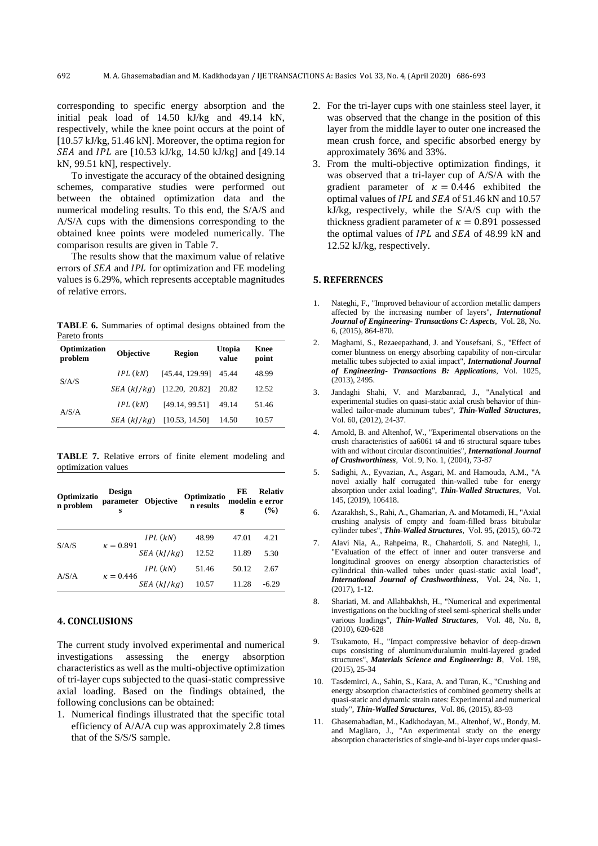corresponding to specific energy absorption and the initial peak load of 14.50 kJ/kg and 49.14 kN, respectively, while the knee point occurs at the point of [10.57 kJ/kg, 51.46 kN]. Moreover, the optima region for  $SEA$  and *IPL* are [10.53 kJ/kg, 14.50 kJ/kg] and [49.14] kN, 99.51 kN], respectively.

To investigate the accuracy of the obtained designing schemes, comparative studies were performed out between the obtained optimization data and the numerical modeling results. To this end, the S/A/S and A/S/A cups with the dimensions corresponding to the obtained knee points were modeled numerically. The comparison results are given in Table 7.

The results show that the maximum value of relative errors of  $SEA$  and  $IPL$  for optimization and  $FE$  modeling values is 6.29%, which represents acceptable magnitudes of relative errors.

**TABLE 6.** Summaries of optimal designs obtained from the Pareto fronts

| Optimization<br>problem | <b>Objective</b> | <b>Region</b>                | <b>Utopia</b><br>value | Knee<br>point |
|-------------------------|------------------|------------------------------|------------------------|---------------|
| S/A/S                   | $IPL$ $(kN)$     | [45.44, 129.99]              | 45.44                  | 48.99         |
|                         |                  | $SEA (kI/kg)$ [12.20, 20.82] | 20.82                  | 12.52         |
|                         | IPL(kN)          | [49.14, 99.51]               | 49.14                  | 51.46         |
| A/S/A                   | SEA (kl/kg)      | [10.53, 14.50]               | 14.50                  | 10.57         |

**TABLE 7.** Relative errors of finite element modeling and optimization values

| Optimizatio<br>n problem | <b>Design</b><br>s | parameter Objective | Optimizatio<br>n results | FE<br>modelin e error<br>g | <b>Relativ</b><br>$($ %) |
|--------------------------|--------------------|---------------------|--------------------------|----------------------------|--------------------------|
|                          | $\kappa = 0.891$   | IPL(kN)             | 48.99                    | 47.01                      | 4.21                     |
| S/A/S                    |                    | SEA(k]/kg)          | 12.52                    | 11.89                      | 5.30                     |
| A/S/A                    |                    | IPL(kN)             | 51.46                    | 50.12                      | 2.67                     |
|                          | $\kappa = 0.446$   | SEA(k]/kg)          | 10.57                    | 11.28                      | $-6.29$                  |

# **4. CONCLUSIONS**

The current study involved experimental and numerical investigations assessing the energy absorption characteristics as well as the multi-objective optimization of tri-layer cups subjected to the quasi-static compressive axial loading. Based on the findings obtained, the following conclusions can be obtained:

1. Numerical findings illustrated that the specific total efficiency of A/A/A cup was approximately 2.8 times that of the S/S/S sample.

- 2. For the tri-layer cups with one stainless steel layer, it was observed that the change in the position of this layer from the middle layer to outer one increased the mean crush force, and specific absorbed energy by approximately 36% and 33%.
- 3. From the multi-objective optimization findings, it was observed that a tri-layer cup of A/S/A with the gradient parameter of  $\kappa = 0.446$  exhibited the optimal values of IPL and SEA of 51.46 kN and 10.57 kJ/kg, respectively, while the S/A/S cup with the thickness gradient parameter of  $\kappa = 0.891$  possessed the optimal values of  $IPL$  and  $SEA$  of 48.99 kN and 12.52 kJ/kg, respectively.

# **5. REFERENCES**

- 1. Nateghi, F., "Improved behaviour of accordion metallic dampers affected by the increasing number of layers", *International Journal of Engineering- Transactions C: Aspects*, Vol. 28, No. 6, (2015), 864-870.
- 2. Maghami, S., Rezaeepazhand, J. and Yousefsani, S., "Effect of corner bluntness on energy absorbing capability of non-circular metallic tubes subjected to axial impact", *International Journal of Engineering- Transactions B: Applications*, Vol. 1025, (2013), 2495.
- 3. Jandaghi Shahi, V. and Marzbanrad, J., "Analytical and experimental studies on quasi-static axial crush behavior of thinwalled tailor-made aluminum tubes", *Thin-Walled Structures*, Vol. 60, (2012), 24-37.
- 4. Arnold, B. and Altenhof, W., "Experimental observations on the crush characteristics of aa6061 t4 and t6 structural square tubes with and without circular discontinuities", *International Journal of Crashworthiness*, Vol. 9, No. 1, (2004), 73-87
- 5. Sadighi, A., Eyvazian, A., Asgari, M. and Hamouda, A.M., "A novel axially half corrugated thin-walled tube for energy absorption under axial loading", *Thin-Walled Structures*, Vol. 145, (2019), 106418.
- 6. Azarakhsh, S., Rahi, A., Ghamarian, A. and Motamedi, H., "Axial crushing analysis of empty and foam-filled brass bitubular cylinder tubes", *Thin-Walled Structures*, Vol. 95, (2015), 60-72
- 7. Alavi Nia, A., Rahpeima, R., Chahardoli, S. and Nateghi, I., "Evaluation of the effect of inner and outer transverse and longitudinal grooves on energy absorption characteristics of cylindrical thin-walled tubes under quasi-static axial load", *International Journal of Crashworthiness*, Vol. 24, No. 1, (2017), 1-12.
- 8. Shariati, M. and Allahbakhsh, H., "Numerical and experimental investigations on the buckling of steel semi-spherical shells under various loadings", *Thin-Walled Structures*, Vol. 48, No. 8, (2010), 620-628
- 9. Tsukamoto, H., "Impact compressive behavior of deep-drawn cups consisting of aluminum/duralumin multi-layered graded structures", *Materials Science and Engineering: B*, Vol. 198, (2015), 25-34
- 10. Tasdemirci, A., Sahin, S., Kara, A. and Turan, K., "Crushing and energy absorption characteristics of combined geometry shells at quasi-static and dynamic strain rates: Experimental and numerical study", *Thin-Walled Structures*, Vol. 86, (2015), 83-93
- 11. Ghasemabadian, M., Kadkhodayan, M., Altenhof, W., Bondy, M. and Magliaro, J., "An experimental study on the energy absorption characteristics of single-and bi-layer cups under quasi-